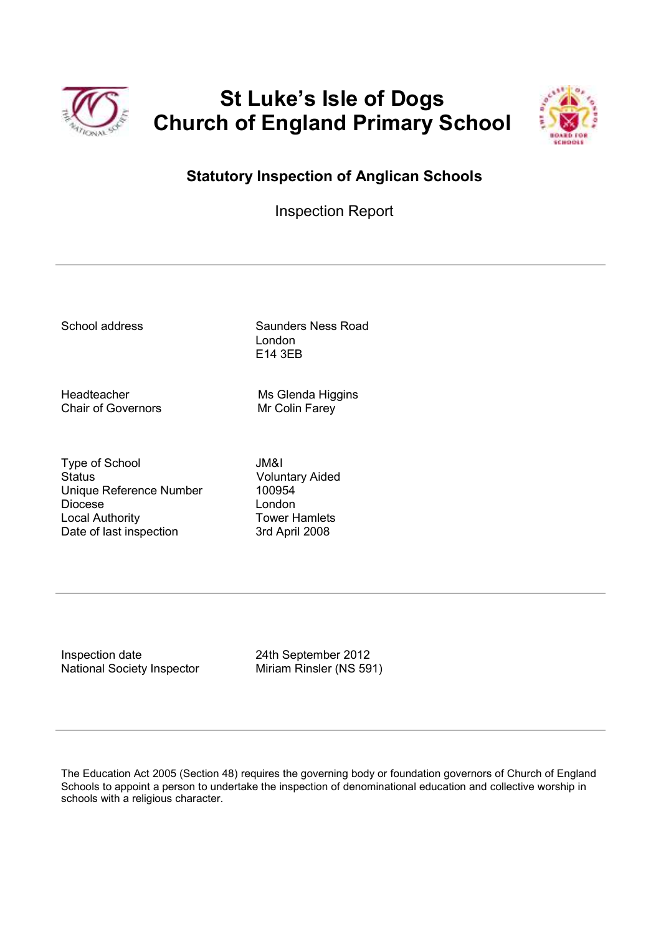

# **St Luke's Isle of Dogs Church of England Primary School**



## **Statutory Inspection of Anglican Schools**

Inspection Report

School address Saunders Ness Road London E14 3EB

Chair of Governors Mr Colin Farey

Headteacher Ms Glenda Higgins

Type of School JM&I Status Voluntary Aided Unique Reference Number 100954 Diocese London Local Authority **Tower Hamlets** Date of last inspection 3rd April 2008

Inspection date 24th September 2012 National Society Inspector Miriam Rinsler (NS 591)

The Education Act 2005 (Section 48) requires the governing body or foundation governors of Church of England Schools to appoint a person to undertake the inspection of denominational education and collective worship in schools with a religious character.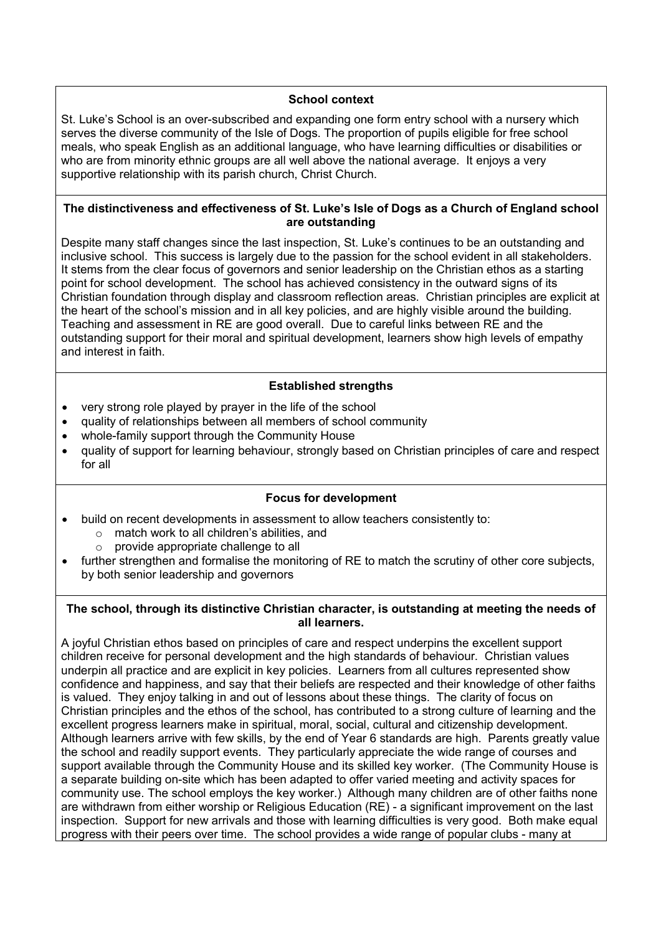#### **School context**

St. Luke's School is an over-subscribed and expanding one form entry school with a nursery which serves the diverse community of the Isle of Dogs. The proportion of pupils eligible for free school meals, who speak English as an additional language, who have learning difficulties or disabilities or who are from minority ethnic groups are all well above the national average. It enjoys a very supportive relationship with its parish church, Christ Church.

#### **The distinctiveness and effectiveness of St. Luke's Isle of Dogs as a Church of England school are outstanding**

Despite many staff changes since the last inspection, St. Luke's continues to be an outstanding and inclusive school. This success is largely due to the passion for the school evident in all stakeholders. It stems from the clear focus of governors and senior leadership on the Christian ethos as a starting point for school development. The school has achieved consistency in the outward signs of its Christian foundation through display and classroom reflection areas.Christian principles are explicit at the heart of the school's mission and in all key policies, and are highly visible around the building. Teaching and assessment in RE are good overall. Due to careful links between RE and the outstanding support for their moral and spiritual development, learners show high levels of empathy and interest in faith.

#### **Established strengths**

- very strong role played by prayer in the life of the school
- quality of relationships between all members of school community
- whole-family support through the Community House
- quality of support for learning behaviour, strongly based on Christian principles of care and respect for all

#### **Focus for development**

- build on recent developments in assessment to allow teachers consistently to:
	- o match work to all children's abilities, and
	- o provide appropriate challenge to all
- further strengthen and formalise the monitoring of RE to match the scrutiny of other core subjects, by both senior leadership and governors

#### **The school, through its distinctive Christian character, is outstanding at meeting the needs of all learners.**

A joyful Christian ethos based on principles of care and respect underpins the excellent support children receive for personal development and the high standards of behaviour. Christian values underpin all practice and are explicit in key policies. Learners from all cultures represented show confidence and happiness, and say that their beliefs are respected and their knowledge of other faiths is valued. They enjoy talking in and out of lessons about these things. The clarity of focus on Christian principles and the ethos of the school, has contributed to a strong culture of learning and the excellent progress learners make in spiritual, moral, social, cultural and citizenship development. Although learners arrive with few skills, by the end of Year 6 standards are high. Parents greatly value the school and readily support events. They particularly appreciate the wide range of courses and support available through the Community House and its skilled key worker. (The Community House is a separate building on-site which has been adapted to offer varied meeting and activity spaces for community use. The school employs the key worker.) Although many children are of other faiths none are withdrawn from either worship or Religious Education (RE) - a significant improvement on the last inspection. Support for new arrivals and those with learning difficulties is very good. Both make equal progress with their peers over time. The school provides a wide range of popular clubs - many at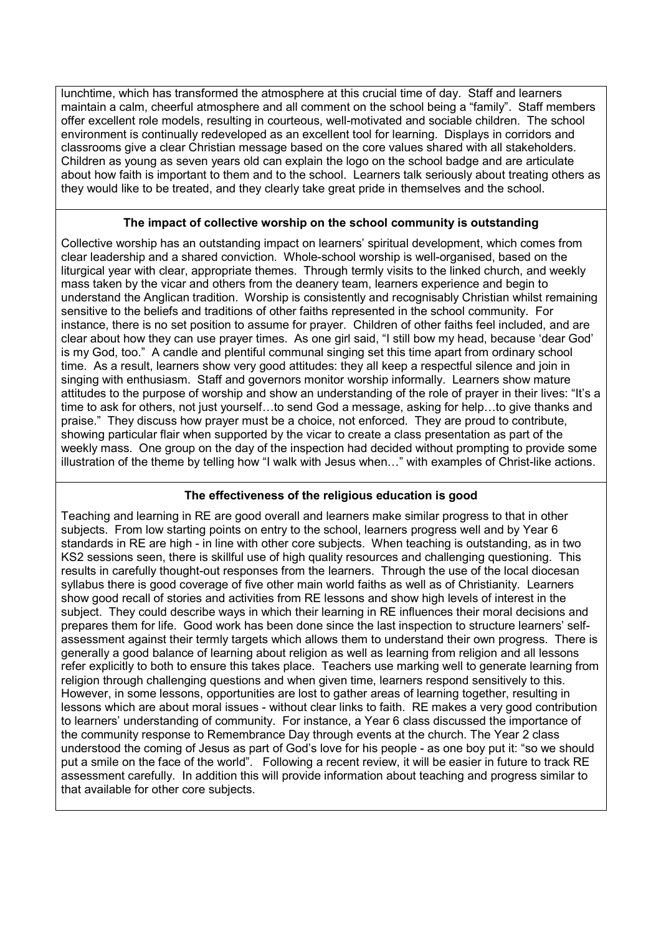lunchtime, which has transformed the atmosphere at this crucial time of day. Staff and learners maintain a calm, cheerful atmosphere and all comment on the school being a "family". Staff members offer excellent role models, resulting in courteous, well-motivated and sociable children. The school environment is continually redeveloped as an excellent tool for learning. Displays in corridors and classrooms give a clear Christian message based on the core values shared with all stakeholders. Children as young as seven years old can explain the logo on the school badge and are articulate about how faith is important to them and to the school. Learners talk seriously about treating others as they would like to be treated, and they clearly take great pride in themselves and the school.

### **The impact of collective worship on the school community is outstanding**

Collective worship has an outstanding impact on learners' spiritual development, which comes from clear leadership and a shared conviction. Whole-school worship is well-organised, based on the liturgical year with clear, appropriate themes. Through termly visits to the linked church, and weekly mass taken by the vicar and others from the deanery team, learners experience and begin to understand the Anglican tradition. Worship is consistently and recognisably Christian whilst remaining sensitive to the beliefs and traditions of other faiths represented in the school community. For instance, there is no set position to assume for prayer. Children of other faiths feel included, and are clear about how they can use prayer times. As one girl said, "I still bow my head, because 'dear God' is my God, too." A candle and plentiful communal singing set this time apart from ordinary school time. As a result, learners show very good attitudes: they all keep a respectful silence and join in singing with enthusiasm. Staff and governors monitor worship informally. Learners show mature attitudes to the purpose of worship and show an understanding of the role of prayer in their lives: "It's a time to ask for others, not just yourself...to send God a message, asking for help...to give thanks and praise." They discuss how prayer must be a choice, not enforced. They are proud to contribute, showing particular flair when supported by the vicar to create a class presentation as part of the weekly mass. One group on the day of the inspection had decided without prompting to provide some illustration of the theme by telling how "I walk with Jesus when..." with examples of Christ-like actions.

### **The effectiveness of the religious education is good**

Teaching and learning in RE are good overall and learners make similar progress to that in other subjects. From low starting points on entry to the school, learners progress well and by Year 6 standards in RE are high - in line with other core subjects. When teaching is outstanding, as in two KS2 sessions seen, there is skillful use of high quality resources and challenging questioning. This results in carefully thought-out responses from the learners. Through the use of the local diocesan syllabus there is good coverage of five other main world faiths as well as of Christianity. Learners show good recall of stories and activities from RE lessons and show high levels of interest in the subject. They could describe ways in which their learning in RE influences their moral decisions and prepares them for life. Good work has been done since the last inspection to structure learners' selfassessment against their termly targets which allows them to understand their own progress. There is generally a good balance of learning about religion as well as learning from religion and all lessons refer explicitly to both to ensure this takes place. Teachers use marking well to generate learning from religion through challenging questions and when given time, learners respond sensitively to this. However, in some lessons, opportunities are lost to gather areas of learning together, resulting in lessons which are about moral issues - without clear links to faith. RE makes a very good contribution to learners' understanding of community. For instance, a Year 6 class discussed the importance of the community response to Remembrance Day through events at the church. The Year 2 class understood the coming of Jesus as part of God's love for his people - as one boy put it: "so we should put a smile on the face of the world". Following a recent review, it will be easier in future to track RE assessment carefully. In addition this will provide information about teaching and progress similar to that available for other core subjects.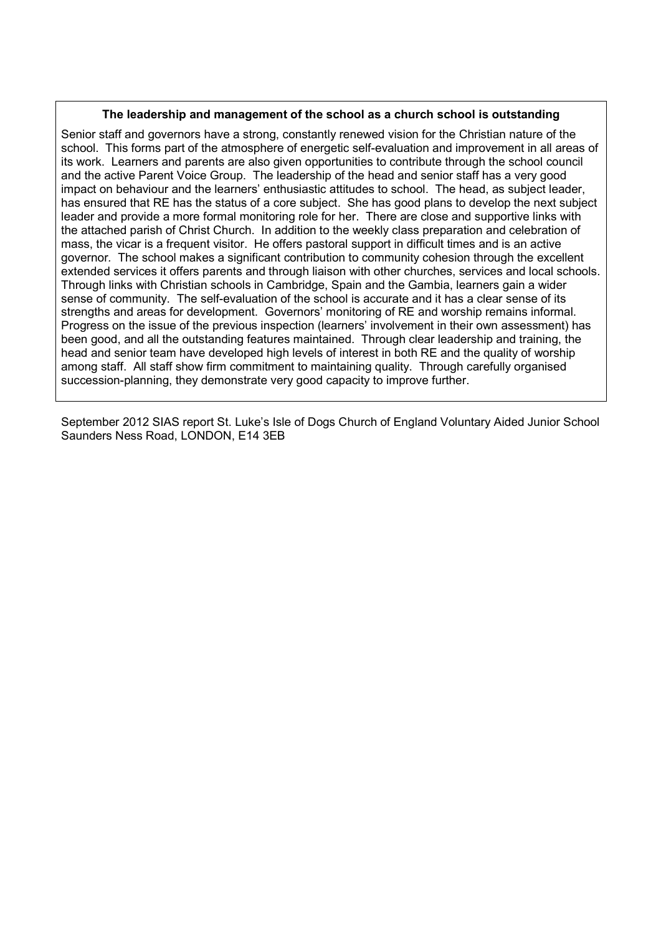#### **The leadership and management of the school as a church school is outstanding**

Senior staff and governors have a strong, constantly renewed vision for the Christian nature of the school. This forms part of the atmosphere of energetic self-evaluation and improvement in all areas of its work. Learners and parents are also given opportunities to contribute through the school council and the active Parent Voice Group. The leadership of the head and senior staff has a very good impact on behaviour and the learners' enthusiastic attitudes to school.The head, as subject leader, has ensured that RE has the status of a core subject. She has good plans to develop the next subject leader and provide a more formal monitoring role for her. There are close and supportive links with the attached parish of Christ Church. In addition to the weekly class preparation and celebration of mass, the vicar is a frequent visitor. He offers pastoral support in difficult times and is an active governor*.* The school makes a significant contribution to community cohesion through the excellent extended services it offers parents and through liaison with other churches, services and local schools. Through links with Christian schools in Cambridge, Spain and the Gambia, learners gain a wider sense of community. The self-evaluation of the school is accurate and it has a clear sense of its strengths and areas for development.Governors' monitoring of RE and worship remains informal. Progress on the issue of the previous inspection (learners' involvement in their own assessment) has been good, and all the outstanding features maintained. Through clear leadership and training, the head and senior team have developed high levels of interest in both RE and the quality of worship among staff. All staff show firm commitment to maintaining quality. Through carefully organised succession-planning, they demonstrate very good capacity to improve further.

September 2012 SIAS report St. Luke's Isle of Dogs Church of England Voluntary Aided Junior School Saunders Ness Road, LONDON, E14 3EB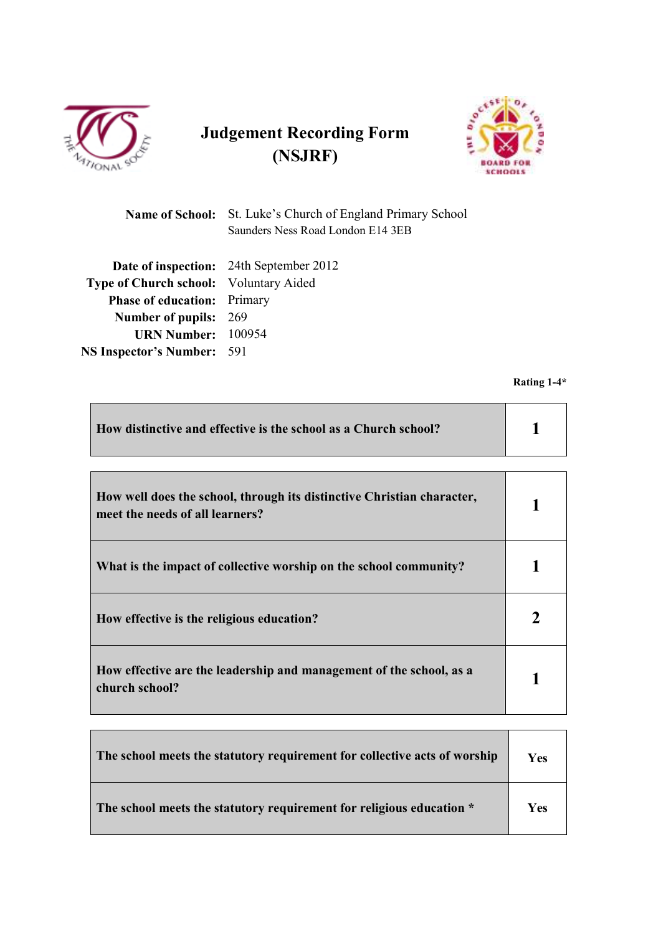

# **Judgement Recording Form (NSJRF)**



|                                        | <b>Name of School:</b> St. Luke's Church of England Primary School<br>Saunders Ness Road London E14 3EB |
|----------------------------------------|---------------------------------------------------------------------------------------------------------|
|                                        | <b>Date of inspection:</b> 24th September 2012                                                          |
| Type of Church school: Voluntary Aided |                                                                                                         |
| <b>Phase of education:</b> Primary     |                                                                                                         |
| <b>Number of pupils: 269</b>           |                                                                                                         |
| <b>URN Number:</b> 100954              |                                                                                                         |
| <b>NS Inspector's Number:</b> 591      |                                                                                                         |
|                                        |                                                                                                         |

**Rating 1-4\*** 

| How distinctive and effective is the school as a Church school? |  |
|-----------------------------------------------------------------|--|
|                                                                 |  |

| How well does the school, through its distinctive Christian character,<br>meet the needs of all learners? |  |
|-----------------------------------------------------------------------------------------------------------|--|
| What is the impact of collective worship on the school community?                                         |  |
| How effective is the religious education?                                                                 |  |
| How effective are the leadership and management of the school, as a<br>church school?                     |  |

| The school meets the statutory requirement for collective acts of worship | <b>Yes</b> |
|---------------------------------------------------------------------------|------------|
| The school meets the statutory requirement for religious education *      | Yes        |